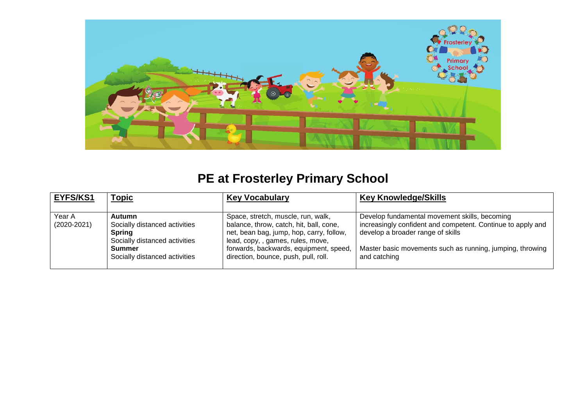

## **PE at Frosterley Primary School**

| <b>EYFS/KS1</b>           | <u>Topic</u>                                                                                                                         | <b>Key Vocabulary</b>                                                                                                                                                                                                                           | <b>Key Knowledge/Skills</b>                                                                                                                                                                                                    |
|---------------------------|--------------------------------------------------------------------------------------------------------------------------------------|-------------------------------------------------------------------------------------------------------------------------------------------------------------------------------------------------------------------------------------------------|--------------------------------------------------------------------------------------------------------------------------------------------------------------------------------------------------------------------------------|
| Year A<br>$(2020 - 2021)$ | Autumn<br>Socially distanced activities<br><b>Spring</b><br>Socially distanced activities<br>Summer<br>Socially distanced activities | Space, stretch, muscle, run, walk,<br>balance, throw, catch, hit, ball, cone,<br>net, bean bag, jump, hop, carry, follow,<br>lead, copy,, games, rules, move,<br>forwards, backwards, equipment, speed,<br>direction, bounce, push, pull, roll. | Develop fundamental movement skills, becoming<br>increasingly confident and competent. Continue to apply and<br>develop a broader range of skills<br>Master basic movements such as running, jumping, throwing<br>and catching |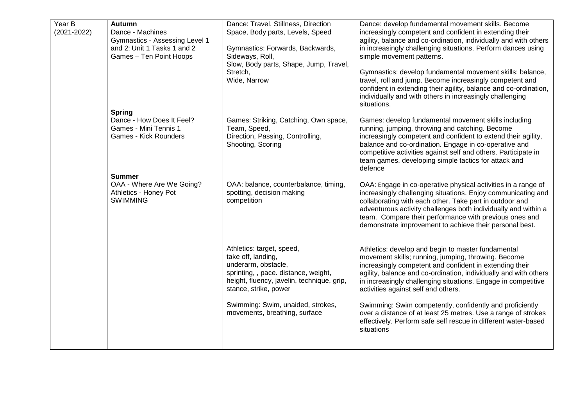| Year B<br>$(2021 - 2022)$ | <b>Autumn</b><br>Dance - Machines<br>Gymnastics - Assessing Level 1<br>and 2: Unit 1 Tasks 1 and 2<br>Games - Ten Point Hoops<br><b>Spring</b> | Dance: Travel, Stillness, Direction<br>Space, Body parts, Levels, Speed<br>Gymnastics: Forwards, Backwards,<br>Sideways, Roll,<br>Slow, Body parts, Shape, Jump, Travel,<br>Stretch,<br>Wide, Narrow | Dance: develop fundamental movement skills. Become<br>increasingly competent and confident in extending their<br>agility, balance and co-ordination, individually and with others<br>in increasingly challenging situations. Perform dances using<br>simple movement patterns.<br>Gymnastics: develop fundamental movement skills: balance,<br>travel, roll and jump. Become increasingly competent and<br>confident in extending their agility, balance and co-ordination,<br>individually and with others in increasingly challenging<br>situations. |
|---------------------------|------------------------------------------------------------------------------------------------------------------------------------------------|------------------------------------------------------------------------------------------------------------------------------------------------------------------------------------------------------|--------------------------------------------------------------------------------------------------------------------------------------------------------------------------------------------------------------------------------------------------------------------------------------------------------------------------------------------------------------------------------------------------------------------------------------------------------------------------------------------------------------------------------------------------------|
|                           | Dance - How Does It Feel?<br>Games - Mini Tennis 1<br><b>Games - Kick Rounders</b><br><b>Summer</b>                                            | Games: Striking, Catching, Own space,<br>Team, Speed,<br>Direction, Passing, Controlling,<br>Shooting, Scoring                                                                                       | Games: develop fundamental movement skills including<br>running, jumping, throwing and catching. Become<br>increasingly competent and confident to extend their agility,<br>balance and co-ordination. Engage in co-operative and<br>competitive activities against self and others. Participate in<br>team games, developing simple tactics for attack and<br>defence                                                                                                                                                                                 |
|                           | OAA - Where Are We Going?<br>Athletics - Honey Pot<br><b>SWIMMING</b>                                                                          | OAA: balance, counterbalance, timing,<br>spotting, decision making<br>competition                                                                                                                    | OAA: Engage in co-operative physical activities in a range of<br>increasingly challenging situations. Enjoy communicating and<br>collaborating with each other. Take part in outdoor and<br>adventurous activity challenges both individually and within a<br>team. Compare their performance with previous ones and<br>demonstrate improvement to achieve their personal best.                                                                                                                                                                        |
|                           |                                                                                                                                                | Athletics: target, speed,<br>take off, landing,<br>underarm, obstacle,<br>sprinting, , pace. distance, weight,<br>height, fluency, javelin, technique, grip,<br>stance, strike, power                | Athletics: develop and begin to master fundamental<br>movement skills; running, jumping, throwing. Become<br>increasingly competent and confident in extending their<br>agility, balance and co-ordination, individually and with others<br>in increasingly challenging situations. Engage in competitive<br>activities against self and others.                                                                                                                                                                                                       |
|                           |                                                                                                                                                | Swimming: Swim, unaided, strokes,<br>movements, breathing, surface                                                                                                                                   | Swimming: Swim competently, confidently and proficiently<br>over a distance of at least 25 metres. Use a range of strokes<br>effectively. Perform safe self rescue in different water-based<br>situations                                                                                                                                                                                                                                                                                                                                              |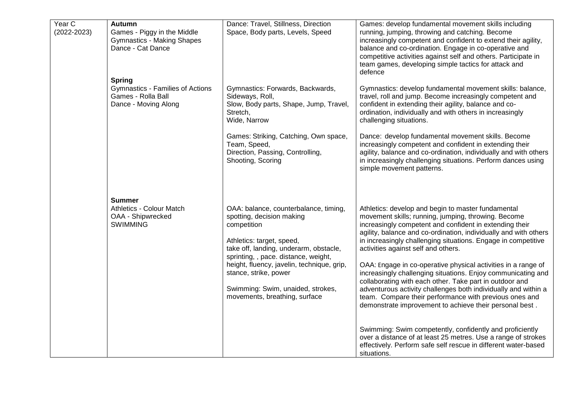| Year C          | <b>Autumn</b>                                                                                   | Dance: Travel, Stillness, Direction                                                                                                                                                              | Games: develop fundamental movement skills including                                                                                                                                                                                                                                                                                                                            |
|-----------------|-------------------------------------------------------------------------------------------------|--------------------------------------------------------------------------------------------------------------------------------------------------------------------------------------------------|---------------------------------------------------------------------------------------------------------------------------------------------------------------------------------------------------------------------------------------------------------------------------------------------------------------------------------------------------------------------------------|
| $(2022 - 2023)$ | Games - Piggy in the Middle<br><b>Gymnastics - Making Shapes</b><br>Dance - Cat Dance           | Space, Body parts, Levels, Speed                                                                                                                                                                 | running, jumping, throwing and catching. Become<br>increasingly competent and confident to extend their agility,<br>balance and co-ordination. Engage in co-operative and<br>competitive activities against self and others. Participate in<br>team games, developing simple tactics for attack and<br>defence                                                                  |
|                 | <b>Spring</b><br>Gymnastics - Families of Actions<br>Games - Rolla Ball<br>Dance - Moving Along | Gymnastics: Forwards, Backwards,<br>Sideways, Roll,<br>Slow, Body parts, Shape, Jump, Travel,<br>Stretch,<br>Wide, Narrow<br>Games: Striking, Catching, Own space,                               | Gymnastics: develop fundamental movement skills: balance,<br>travel, roll and jump. Become increasingly competent and<br>confident in extending their agility, balance and co-<br>ordination, individually and with others in increasingly<br>challenging situations.<br>Dance: develop fundamental movement skills. Become                                                     |
|                 |                                                                                                 | Team, Speed,<br>Direction, Passing, Controlling,<br>Shooting, Scoring                                                                                                                            | increasingly competent and confident in extending their<br>agility, balance and co-ordination, individually and with others<br>in increasingly challenging situations. Perform dances using<br>simple movement patterns.                                                                                                                                                        |
|                 | <b>Summer</b><br>Athletics - Colour Match<br>OAA - Shipwrecked<br>SWIMMING                      | OAA: balance, counterbalance, timing,<br>spotting, decision making<br>competition<br>Athletics: target, speed,<br>take off, landing, underarm, obstacle,<br>sprinting, , pace. distance, weight, | Athletics: develop and begin to master fundamental<br>movement skills; running, jumping, throwing. Become<br>increasingly competent and confident in extending their<br>agility, balance and co-ordination, individually and with others<br>in increasingly challenging situations. Engage in competitive<br>activities against self and others.                                |
|                 |                                                                                                 | height, fluency, javelin, technique, grip,<br>stance, strike, power<br>Swimming: Swim, unaided, strokes,<br>movements, breathing, surface                                                        | OAA: Engage in co-operative physical activities in a range of<br>increasingly challenging situations. Enjoy communicating and<br>collaborating with each other. Take part in outdoor and<br>adventurous activity challenges both individually and within a<br>team. Compare their performance with previous ones and<br>demonstrate improvement to achieve their personal best. |
|                 |                                                                                                 |                                                                                                                                                                                                  | Swimming: Swim competently, confidently and proficiently<br>over a distance of at least 25 metres. Use a range of strokes<br>effectively. Perform safe self rescue in different water-based<br>situations.                                                                                                                                                                      |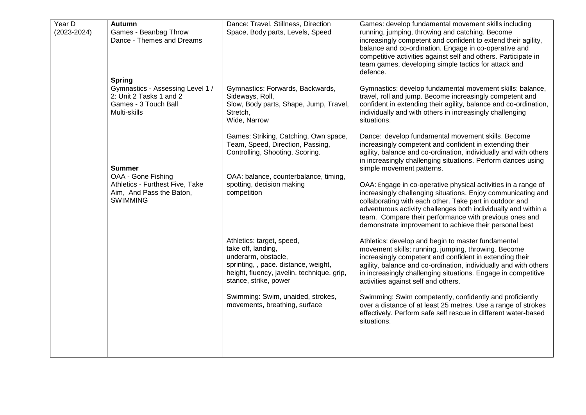| Year D          | <b>Autumn</b>                                                                                                        | Dance: Travel, Stillness, Direction                                                                                                                                                   | Games: develop fundamental movement skills including                                                                                                                                                                                                                                                                                                                           |
|-----------------|----------------------------------------------------------------------------------------------------------------------|---------------------------------------------------------------------------------------------------------------------------------------------------------------------------------------|--------------------------------------------------------------------------------------------------------------------------------------------------------------------------------------------------------------------------------------------------------------------------------------------------------------------------------------------------------------------------------|
| $(2023 - 2024)$ | Games - Beanbag Throw<br>Dance - Themes and Dreams                                                                   | Space, Body parts, Levels, Speed                                                                                                                                                      | running, jumping, throwing and catching. Become<br>increasingly competent and confident to extend their agility,<br>balance and co-ordination. Engage in co-operative and<br>competitive activities against self and others. Participate in<br>team games, developing simple tactics for attack and<br>defence.                                                                |
|                 | <b>Spring</b><br>Gymnastics - Assessing Level 1 /<br>2: Unit 2 Tasks 1 and 2<br>Games - 3 Touch Ball<br>Multi-skills | Gymnastics: Forwards, Backwards,<br>Sideways, Roll,<br>Slow, Body parts, Shape, Jump, Travel,<br>Stretch,<br>Wide, Narrow                                                             | Gymnastics: develop fundamental movement skills: balance,<br>travel, roll and jump. Become increasingly competent and<br>confident in extending their agility, balance and co-ordination,<br>individually and with others in increasingly challenging<br>situations.                                                                                                           |
|                 | <b>Summer</b>                                                                                                        | Games: Striking, Catching, Own space,<br>Team, Speed, Direction, Passing,<br>Controlling, Shooting, Scoring.                                                                          | Dance: develop fundamental movement skills. Become<br>increasingly competent and confident in extending their<br>agility, balance and co-ordination, individually and with others<br>in increasingly challenging situations. Perform dances using<br>simple movement patterns.                                                                                                 |
|                 | OAA - Gone Fishing<br>Athletics - Furthest Five, Take<br>Aim, And Pass the Baton,<br><b>SWIMMING</b>                 | OAA: balance, counterbalance, timing,<br>spotting, decision making<br>competition                                                                                                     | OAA: Engage in co-operative physical activities in a range of<br>increasingly challenging situations. Enjoy communicating and<br>collaborating with each other. Take part in outdoor and<br>adventurous activity challenges both individually and within a<br>team. Compare their performance with previous ones and<br>demonstrate improvement to achieve their personal best |
|                 |                                                                                                                      | Athletics: target, speed,<br>take off, landing,<br>underarm, obstacle,<br>sprinting, , pace. distance, weight,<br>height, fluency, javelin, technique, grip,<br>stance, strike, power | Athletics: develop and begin to master fundamental<br>movement skills; running, jumping, throwing. Become<br>increasingly competent and confident in extending their<br>agility, balance and co-ordination, individually and with others<br>in increasingly challenging situations. Engage in competitive<br>activities against self and others.                               |
|                 |                                                                                                                      | Swimming: Swim, unaided, strokes,<br>movements, breathing, surface                                                                                                                    | Swimming: Swim competently, confidently and proficiently<br>over a distance of at least 25 metres. Use a range of strokes<br>effectively. Perform safe self rescue in different water-based<br>situations.                                                                                                                                                                     |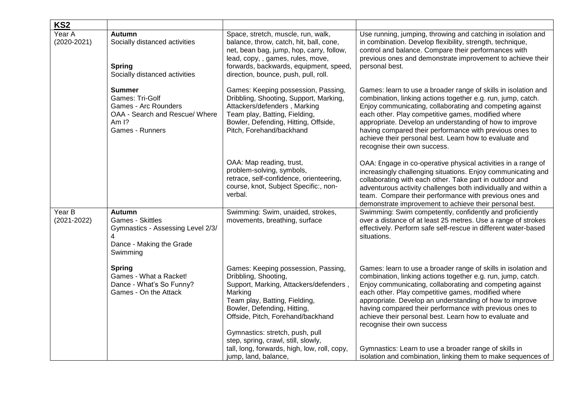| KS <sub>2</sub>           |                                                                                                                           |                                                                                                                                                                                                                                                  |                                                                                                                                                                                                                                                                                                                                                                                                                                                                  |
|---------------------------|---------------------------------------------------------------------------------------------------------------------------|--------------------------------------------------------------------------------------------------------------------------------------------------------------------------------------------------------------------------------------------------|------------------------------------------------------------------------------------------------------------------------------------------------------------------------------------------------------------------------------------------------------------------------------------------------------------------------------------------------------------------------------------------------------------------------------------------------------------------|
| Year A<br>$(2020 - 2021)$ | Autumn<br>Socially distanced activities<br><b>Spring</b><br>Socially distanced activities                                 | Space, stretch, muscle, run, walk,<br>balance, throw, catch, hit, ball, cone,<br>net, bean bag, jump, hop, carry, follow,<br>lead, copy, , games, rules, move,<br>forwards, backwards, equipment, speed,<br>direction, bounce, push, pull, roll. | Use running, jumping, throwing and catching in isolation and<br>in combination. Develop flexibility, strength, technique,<br>control and balance. Compare their performances with<br>previous ones and demonstrate improvement to achieve their<br>personal best.                                                                                                                                                                                                |
|                           | <b>Summer</b><br>Games: Tri-Golf<br>Games - Arc Rounders<br>OAA - Search and Rescue/ Where<br>Am $1$ ?<br>Games - Runners | Games: Keeping possession, Passing,<br>Dribbling, Shooting, Support, Marking,<br>Attackers/defenders, Marking<br>Team play, Batting, Fielding,<br>Bowler, Defending, Hitting, Offside,<br>Pitch, Forehand/backhand                               | Games: learn to use a broader range of skills in isolation and<br>combination, linking actions together e.g. run, jump, catch.<br>Enjoy communicating, collaborating and competing against<br>each other. Play competitive games, modified where<br>appropriate. Develop an understanding of how to improve<br>having compared their performance with previous ones to<br>achieve their personal best. Learn how to evaluate and<br>recognise their own success. |
|                           |                                                                                                                           | OAA: Map reading, trust,<br>problem-solving, symbols,<br>retrace, self-confidence, orienteering,<br>course, knot, Subject Specific:, non-<br>verbal.                                                                                             | OAA: Engage in co-operative physical activities in a range of<br>increasingly challenging situations. Enjoy communicating and<br>collaborating with each other. Take part in outdoor and<br>adventurous activity challenges both individually and within a<br>team. Compare their performance with previous ones and<br>demonstrate improvement to achieve their personal best.                                                                                  |
| Year B<br>$(2021 - 2022)$ | Autumn<br><b>Games - Skittles</b><br>Gymnastics - Assessing Level 2/3/<br>4<br>Dance - Making the Grade<br>Swimming       | Swimming: Swim, unaided, strokes,<br>movements, breathing, surface                                                                                                                                                                               | Swimming: Swim competently, confidently and proficiently<br>over a distance of at least 25 metres. Use a range of strokes<br>effectively. Perform safe self-rescue in different water-based<br>situations.                                                                                                                                                                                                                                                       |
|                           | <b>Spring</b><br>Games - What a Racket!<br>Dance - What's So Funny?<br>Games - On the Attack                              | Games: Keeping possession, Passing,<br>Dribbling, Shooting,<br>Support, Marking, Attackers/defenders,<br>Marking<br>Team play, Batting, Fielding,<br>Bowler, Defending, Hitting,<br>Offside, Pitch, Forehand/backhand                            | Games: learn to use a broader range of skills in isolation and<br>combination, linking actions together e.g. run, jump, catch.<br>Enjoy communicating, collaborating and competing against<br>each other. Play competitive games, modified where<br>appropriate. Develop an understanding of how to improve<br>having compared their performance with previous ones to<br>achieve their personal best. Learn how to evaluate and<br>recognise their own success  |
|                           |                                                                                                                           | Gymnastics: stretch, push, pull<br>step, spring, crawl, still, slowly,<br>tall, long, forwards, high, low, roll, copy,<br>jump, land, balance,                                                                                                   | Gymnastics: Learn to use a broader range of skills in<br>isolation and combination, linking them to make sequences of                                                                                                                                                                                                                                                                                                                                            |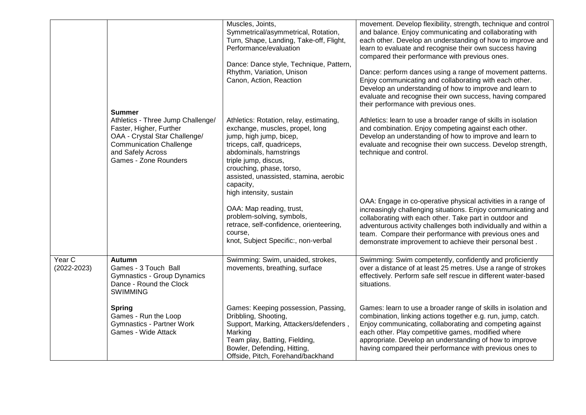|                           |                                                                                                                                                                                         | Muscles, Joints,<br>Symmetrical/asymmetrical, Rotation,<br>Turn, Shape, Landing, Take-off, Flight,<br>Performance/evaluation<br>Dance: Dance style, Technique, Pattern,<br>Rhythm, Variation, Unison<br>Canon, Action, Reaction                                                                     | movement. Develop flexibility, strength, technique and control<br>and balance. Enjoy communicating and collaborating with<br>each other. Develop an understanding of how to improve and<br>learn to evaluate and recognise their own success having<br>compared their performance with previous ones.<br>Dance: perform dances using a range of movement patterns.<br>Enjoy communicating and collaborating with each other.<br>Develop an understanding of how to improve and learn to<br>evaluate and recognise their own success, having compared<br>their performance with previous ones. |
|---------------------------|-----------------------------------------------------------------------------------------------------------------------------------------------------------------------------------------|-----------------------------------------------------------------------------------------------------------------------------------------------------------------------------------------------------------------------------------------------------------------------------------------------------|-----------------------------------------------------------------------------------------------------------------------------------------------------------------------------------------------------------------------------------------------------------------------------------------------------------------------------------------------------------------------------------------------------------------------------------------------------------------------------------------------------------------------------------------------------------------------------------------------|
|                           | Summer<br>Athletics - Three Jump Challenge/<br>Faster, Higher, Further<br>OAA - Crystal Star Challenge/<br><b>Communication Challenge</b><br>and Safely Across<br>Games - Zone Rounders | Athletics: Rotation, relay, estimating,<br>exchange, muscles, propel, long<br>jump, high jump, bicep,<br>triceps, calf, quadriceps,<br>abdominals, hamstrings<br>triple jump, discus,<br>crouching, phase, torso,<br>assisted, unassisted, stamina, aerobic<br>capacity,<br>high intensity, sustain | Athletics: learn to use a broader range of skills in isolation<br>and combination. Enjoy competing against each other.<br>Develop an understanding of how to improve and learn to<br>evaluate and recognise their own success. Develop strength,<br>technique and control.                                                                                                                                                                                                                                                                                                                    |
|                           |                                                                                                                                                                                         | OAA: Map reading, trust,<br>problem-solving, symbols,<br>retrace, self-confidence, orienteering,<br>course,<br>knot, Subject Specific:, non-verbal                                                                                                                                                  | OAA: Engage in co-operative physical activities in a range of<br>increasingly challenging situations. Enjoy communicating and<br>collaborating with each other. Take part in outdoor and<br>adventurous activity challenges both individually and within a<br>team. Compare their performance with previous ones and<br>demonstrate improvement to achieve their personal best.                                                                                                                                                                                                               |
| Year C<br>$(2022 - 2023)$ | Autumn<br>Games - 3 Touch Ball<br><b>Gymnastics - Group Dynamics</b><br>Dance - Round the Clock<br><b>SWIMMING</b>                                                                      | Swimming: Swim, unaided, strokes,<br>movements, breathing, surface                                                                                                                                                                                                                                  | Swimming: Swim competently, confidently and proficiently<br>over a distance of at least 25 metres. Use a range of strokes<br>effectively. Perform safe self rescue in different water-based<br>situations.                                                                                                                                                                                                                                                                                                                                                                                    |
|                           | <b>Spring</b><br>Games - Run the Loop<br><b>Gymnastics - Partner Work</b><br>Games - Wide Attack                                                                                        | Games: Keeping possession, Passing,<br>Dribbling, Shooting,<br>Support, Marking, Attackers/defenders,<br>Marking<br>Team play, Batting, Fielding,<br>Bowler, Defending, Hitting,<br>Offside, Pitch, Forehand/backhand                                                                               | Games: learn to use a broader range of skills in isolation and<br>combination, linking actions together e.g. run, jump, catch.<br>Enjoy communicating, collaborating and competing against<br>each other. Play competitive games, modified where<br>appropriate. Develop an understanding of how to improve<br>having compared their performance with previous ones to                                                                                                                                                                                                                        |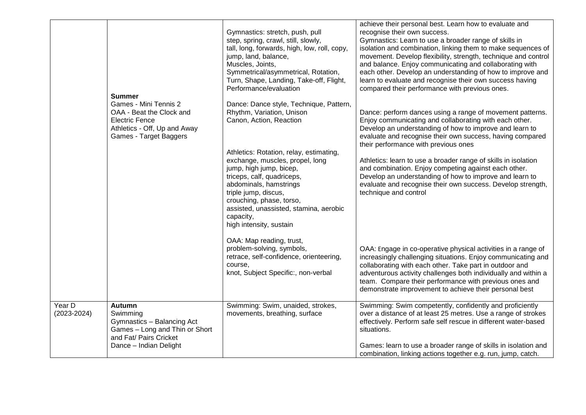|                           |                                                                                                                                                              | Gymnastics: stretch, push, pull<br>step, spring, crawl, still, slowly,<br>tall, long, forwards, high, low, roll, copy,<br>jump, land, balance,<br>Muscles, Joints,<br>Symmetrical/asymmetrical, Rotation,<br>Turn, Shape, Landing, Take-off, Flight,<br>Performance/evaluation                      | achieve their personal best. Learn how to evaluate and<br>recognise their own success.<br>Gymnastics: Learn to use a broader range of skills in<br>isolation and combination, linking them to make sequences of<br>movement. Develop flexibility, strength, technique and control<br>and balance. Enjoy communicating and collaborating with<br>each other. Develop an understanding of how to improve and<br>learn to evaluate and recognise their own success having<br>compared their performance with previous ones. |
|---------------------------|--------------------------------------------------------------------------------------------------------------------------------------------------------------|-----------------------------------------------------------------------------------------------------------------------------------------------------------------------------------------------------------------------------------------------------------------------------------------------------|--------------------------------------------------------------------------------------------------------------------------------------------------------------------------------------------------------------------------------------------------------------------------------------------------------------------------------------------------------------------------------------------------------------------------------------------------------------------------------------------------------------------------|
|                           | <b>Summer</b><br>Games - Mini Tennis 2<br>OAA - Beat the Clock and<br><b>Electric Fence</b><br>Athletics - Off, Up and Away<br><b>Games - Target Baggers</b> | Dance: Dance style, Technique, Pattern,<br>Rhythm, Variation, Unison<br>Canon, Action, Reaction                                                                                                                                                                                                     | Dance: perform dances using a range of movement patterns.<br>Enjoy communicating and collaborating with each other.<br>Develop an understanding of how to improve and learn to<br>evaluate and recognise their own success, having compared<br>their performance with previous ones                                                                                                                                                                                                                                      |
|                           |                                                                                                                                                              | Athletics: Rotation, relay, estimating,<br>exchange, muscles, propel, long<br>jump, high jump, bicep,<br>triceps, calf, quadriceps,<br>abdominals, hamstrings<br>triple jump, discus,<br>crouching, phase, torso,<br>assisted, unassisted, stamina, aerobic<br>capacity,<br>high intensity, sustain | Athletics: learn to use a broader range of skills in isolation<br>and combination. Enjoy competing against each other.<br>Develop an understanding of how to improve and learn to<br>evaluate and recognise their own success. Develop strength,<br>technique and control                                                                                                                                                                                                                                                |
|                           |                                                                                                                                                              | OAA: Map reading, trust,<br>problem-solving, symbols,<br>retrace, self-confidence, orienteering,<br>course,<br>knot, Subject Specific:, non-verbal                                                                                                                                                  | OAA: Engage in co-operative physical activities in a range of<br>increasingly challenging situations. Enjoy communicating and<br>collaborating with each other. Take part in outdoor and<br>adventurous activity challenges both individually and within a<br>team. Compare their performance with previous ones and<br>demonstrate improvement to achieve their personal best                                                                                                                                           |
| Year D<br>$(2023 - 2024)$ | Autumn<br>Swimming<br>Gymnastics - Balancing Act<br>Games - Long and Thin or Short<br>and Fat/ Pairs Cricket<br>Dance - Indian Delight                       | Swimming: Swim, unaided, strokes,<br>movements, breathing, surface                                                                                                                                                                                                                                  | Swimming: Swim competently, confidently and proficiently<br>over a distance of at least 25 metres. Use a range of strokes<br>effectively. Perform safe self rescue in different water-based<br>situations.<br>Games: learn to use a broader range of skills in isolation and<br>combination, linking actions together e.g. run, jump, catch.                                                                                                                                                                             |